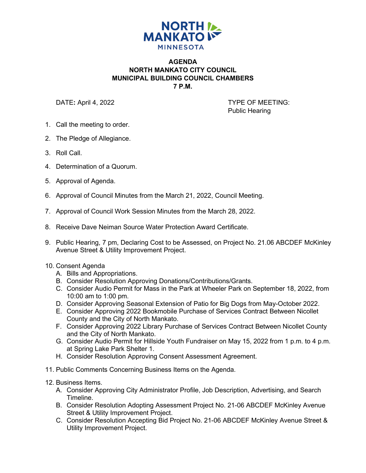

## **AGENDA NORTH MANKATO CITY COUNCIL MUNICIPAL BUILDING COUNCIL CHAMBERS 7 P.M.**

DATE: April 4, 2022 **TYPE OF MEETING:** Public Hearing

- 1. Call the meeting to order.
- 2. The Pledge of Allegiance.
- 3. Roll Call.
- 4. Determination of a Quorum.
- 5. Approval of Agenda.
- 6. Approval of Council Minutes from the March 21, 2022, Council Meeting.
- 7. Approval of Council Work Session Minutes from the March 28, 2022.
- 8. Receive Dave Neiman Source Water Protection Award Certificate.
- 9. Public Hearing, 7 pm, Declaring Cost to be Assessed, on Project No. 21.06 ABCDEF McKinley Avenue Street & Utility Improvement Project.
- 10. Consent Agenda
	- A. Bills and Appropriations.
	- B. Consider Resolution Approving Donations/Contributions/Grants.
	- C. Consider Audio Permit for Mass in the Park at Wheeler Park on September 18, 2022, from 10:00 am to 1:00 pm.
	- D. Consider Approving Seasonal Extension of Patio for Big Dogs from May-October 2022.
	- E. Consider Approving 2022 Bookmobile Purchase of Services Contract Between Nicollet County and the City of North Mankato.
	- F. Consider Approving 2022 Library Purchase of Services Contract Between Nicollet County and the City of North Mankato.
	- G. Consider Audio Permit for Hillside Youth Fundraiser on May 15, 2022 from 1 p.m. to 4 p.m. at Spring Lake Park Shelter 1.
	- H. Consider Resolution Approving Consent Assessment Agreement.
- 11. Public Comments Concerning Business Items on the Agenda.
- 12. Business Items.
	- A. Consider Approving City Administrator Profile, Job Description, Advertising, and Search Timeline.
	- B. Consider Resolution Adopting Assessment Project No. 21-06 ABCDEF McKinley Avenue Street & Utility Improvement Project.
	- C. Consider Resolution Accepting Bid Project No. 21-06 ABCDEF McKinley Avenue Street & Utility Improvement Project.